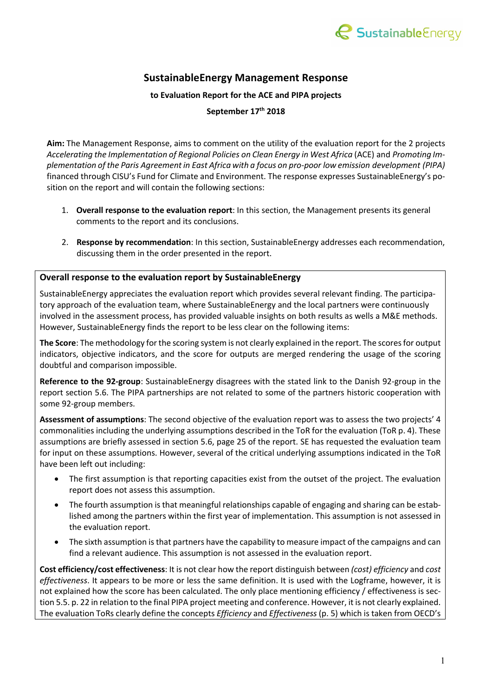

## **SustainableEnergy Management Response**

**to Evaluation Report for the ACE and PIPA projects** 

## **September 17th 2018**

**Aim:** The Management Response, aims to comment on the utility of the evaluation report for the 2 projects *Accelerating the Implementation of Regional Policies on Clean Energy in West Africa* (ACE) and *Promoting Implementation of the Paris Agreement in East Africa with a focus on pro-poor low emission development (PIPA)* financed through CISU's Fund for Climate and Environment. The response expresses SustainableEnergy's position on the report and will contain the following sections:

- 1. **Overall response to the evaluation report**: In this section, the Management presents its general comments to the report and its conclusions.
- 2. **Response by recommendation**: In this section, SustainableEnergy addresses each recommendation, discussing them in the order presented in the report.

## **Overall response to the evaluation report by SustainableEnergy**

SustainableEnergy appreciates the evaluation report which provides several relevant finding. The participatory approach of the evaluation team, where SustainableEnergy and the local partners were continuously involved in the assessment process, has provided valuable insights on both results as wells a M&E methods. However, SustainableEnergy finds the report to be less clear on the following items:

**The Score**: The methodology for the scoring system is not clearly explained in the report. The scores for output indicators, objective indicators, and the score for outputs are merged rendering the usage of the scoring doubtful and comparison impossible.

**Reference to the 92-group**: SustainableEnergy disagrees with the stated link to the Danish 92-group in the report section 5.6. The PIPA partnerships are not related to some of the partners historic cooperation with some 92-group members.

**Assessment of assumptions**: The second objective of the evaluation report was to assess the two projects' 4 commonalities including the underlying assumptions described in the ToR for the evaluation (ToR p. 4). These assumptions are briefly assessed in section 5.6, page 25 of the report. SE has requested the evaluation team for input on these assumptions. However, several of the critical underlying assumptions indicated in the ToR have been left out including:

- The first assumption is that reporting capacities exist from the outset of the project. The evaluation report does not assess this assumption.
- The fourth assumption is that meaningful relationships capable of engaging and sharing can be established among the partners within the first year of implementation. This assumption is not assessed in the evaluation report.
- The sixth assumption is that partners have the capability to measure impact of the campaigns and can find a relevant audience. This assumption is not assessed in the evaluation report.

**Cost efficiency/cost effectiveness**: It is not clear how the report distinguish between *(cost) efficiency* and *cost effectiveness*. It appears to be more or less the same definition. It is used with the Logframe, however, it is not explained how the score has been calculated. The only place mentioning efficiency / effectiveness is section 5.5. p. 22 in relation to the final PIPA project meeting and conference. However, it is not clearly explained. The evaluation ToRs clearly define the concepts *Efficiency* and *Effectiveness* (p. 5) which is taken from OECD's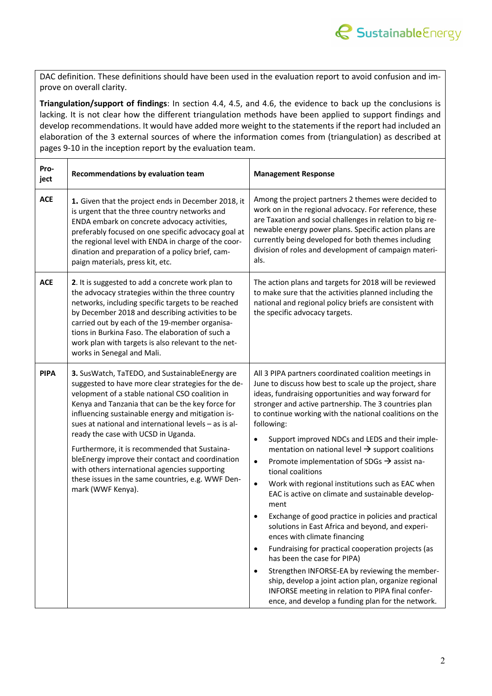

DAC definition. These definitions should have been used in the evaluation report to avoid confusion and improve on overall clarity.

**Triangulation/support of findings**: In section 4.4, 4.5, and 4.6, the evidence to back up the conclusions is lacking. It is not clear how the different triangulation methods have been applied to support findings and develop recommendations. It would have added more weight to the statements if the report had included an elaboration of the 3 external sources of where the information comes from (triangulation) as described at pages 9-10 in the inception report by the evaluation team.

| Pro-<br>ject | Recommendations by evaluation team                                                                                                                                                                                                                                                                                                                                                                                                                                                                                                                                                                | <b>Management Response</b>                                                                                                                                                                                                                                                                                                                                                                                                                                                                                                                                                                                                                                                                                                                                                                                                                                                                                                                                                                                                                                                                                                          |
|--------------|---------------------------------------------------------------------------------------------------------------------------------------------------------------------------------------------------------------------------------------------------------------------------------------------------------------------------------------------------------------------------------------------------------------------------------------------------------------------------------------------------------------------------------------------------------------------------------------------------|-------------------------------------------------------------------------------------------------------------------------------------------------------------------------------------------------------------------------------------------------------------------------------------------------------------------------------------------------------------------------------------------------------------------------------------------------------------------------------------------------------------------------------------------------------------------------------------------------------------------------------------------------------------------------------------------------------------------------------------------------------------------------------------------------------------------------------------------------------------------------------------------------------------------------------------------------------------------------------------------------------------------------------------------------------------------------------------------------------------------------------------|
| <b>ACE</b>   | 1. Given that the project ends in December 2018, it<br>is urgent that the three country networks and<br>ENDA embark on concrete advocacy activities,<br>preferably focused on one specific advocacy goal at<br>the regional level with ENDA in charge of the coor-<br>dination and preparation of a policy brief, cam-<br>paign materials, press kit, etc.                                                                                                                                                                                                                                        | Among the project partners 2 themes were decided to<br>work on in the regional advocacy. For reference, these<br>are Taxation and social challenges in relation to big re-<br>newable energy power plans. Specific action plans are<br>currently being developed for both themes including<br>division of roles and development of campaign materi-<br>als.                                                                                                                                                                                                                                                                                                                                                                                                                                                                                                                                                                                                                                                                                                                                                                         |
| <b>ACE</b>   | 2. It is suggested to add a concrete work plan to<br>the advocacy strategies within the three country<br>networks, including specific targets to be reached<br>by December 2018 and describing activities to be<br>carried out by each of the 19-member organisa-<br>tions in Burkina Faso. The elaboration of such a<br>work plan with targets is also relevant to the net-<br>works in Senegal and Mali.                                                                                                                                                                                        | The action plans and targets for 2018 will be reviewed<br>to make sure that the activities planned including the<br>national and regional policy briefs are consistent with<br>the specific advocacy targets.                                                                                                                                                                                                                                                                                                                                                                                                                                                                                                                                                                                                                                                                                                                                                                                                                                                                                                                       |
| <b>PIPA</b>  | 3. SusWatch, TaTEDO, and SustainableEnergy are<br>suggested to have more clear strategies for the de-<br>velopment of a stable national CSO coalition in<br>Kenya and Tanzania that can be the key force for<br>influencing sustainable energy and mitigation is-<br>sues at national and international levels - as is al-<br>ready the case with UCSD in Uganda.<br>Furthermore, it is recommended that Sustaina-<br>bleEnergy improve their contact and coordination<br>with others international agencies supporting<br>these issues in the same countries, e.g. WWF Den-<br>mark (WWF Kenya). | All 3 PIPA partners coordinated coalition meetings in<br>June to discuss how best to scale up the project, share<br>ideas, fundraising opportunities and way forward for<br>stronger and active partnership. The 3 countries plan<br>to continue working with the national coalitions on the<br>following:<br>Support improved NDCs and LEDS and their imple-<br>٠<br>mentation on national level $\rightarrow$ support coalitions<br>Promote implementation of SDGs $\rightarrow$ assist na-<br>$\bullet$<br>tional coalitions<br>Work with regional institutions such as EAC when<br>$\bullet$<br>EAC is active on climate and sustainable develop-<br>ment<br>Exchange of good practice in policies and practical<br>solutions in East Africa and beyond, and experi-<br>ences with climate financing<br>Fundraising for practical cooperation projects (as<br>٠<br>has been the case for PIPA)<br>Strengthen INFORSE-EA by reviewing the member-<br>$\bullet$<br>ship, develop a joint action plan, organize regional<br>INFORSE meeting in relation to PIPA final confer-<br>ence, and develop a funding plan for the network. |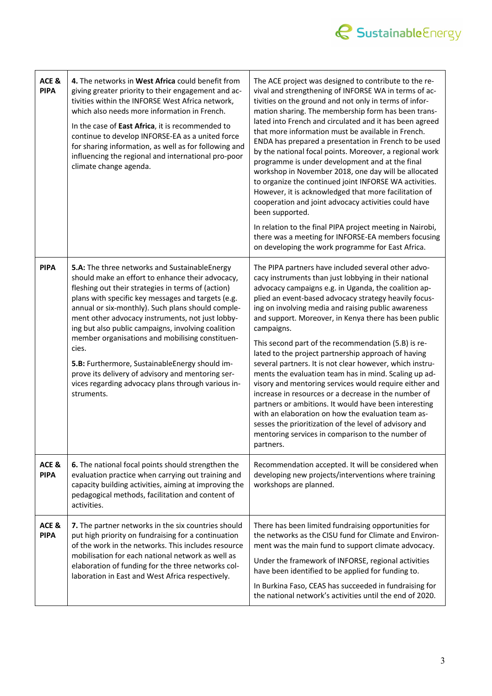

| ACE &<br><b>PIPA</b> | 4. The networks in West Africa could benefit from<br>giving greater priority to their engagement and ac-<br>tivities within the INFORSE West Africa network,<br>which also needs more information in French.<br>In the case of East Africa, it is recommended to<br>continue to develop INFORSE-EA as a united force<br>for sharing information, as well as for following and<br>influencing the regional and international pro-poor<br>climate change agenda.                                                                                                                                                      | The ACE project was designed to contribute to the re-<br>vival and strengthening of INFORSE WA in terms of ac-<br>tivities on the ground and not only in terms of infor-<br>mation sharing. The membership form has been trans-<br>lated into French and circulated and it has been agreed<br>that more information must be available in French.<br>ENDA has prepared a presentation in French to be used<br>by the national focal points. Moreover, a regional work<br>programme is under development and at the final<br>workshop in November 2018, one day will be allocated<br>to organize the continued joint INFORSE WA activities.<br>However, it is acknowledged that more facilitation of<br>cooperation and joint advocacy activities could have<br>been supported.<br>In relation to the final PIPA project meeting in Nairobi,<br>there was a meeting for INFORSE-EA members focusing<br>on developing the work programme for East Africa.      |
|----------------------|---------------------------------------------------------------------------------------------------------------------------------------------------------------------------------------------------------------------------------------------------------------------------------------------------------------------------------------------------------------------------------------------------------------------------------------------------------------------------------------------------------------------------------------------------------------------------------------------------------------------|-------------------------------------------------------------------------------------------------------------------------------------------------------------------------------------------------------------------------------------------------------------------------------------------------------------------------------------------------------------------------------------------------------------------------------------------------------------------------------------------------------------------------------------------------------------------------------------------------------------------------------------------------------------------------------------------------------------------------------------------------------------------------------------------------------------------------------------------------------------------------------------------------------------------------------------------------------------|
| <b>PIPA</b>          | 5.A: The three networks and SustainableEnergy<br>should make an effort to enhance their advocacy,<br>fleshing out their strategies in terms of (action)<br>plans with specific key messages and targets (e.g.<br>annual or six-monthly). Such plans should comple-<br>ment other advocacy instruments, not just lobby-<br>ing but also public campaigns, involving coalition<br>member organisations and mobilising constituen-<br>cies.<br>5.B: Furthermore, SustainableEnergy should im-<br>prove its delivery of advisory and mentoring ser-<br>vices regarding advocacy plans through various in-<br>struments. | The PIPA partners have included several other advo-<br>cacy instruments than just lobbying in their national<br>advocacy campaigns e.g. in Uganda, the coalition ap-<br>plied an event-based advocacy strategy heavily focus-<br>ing on involving media and raising public awareness<br>and support. Moreover, in Kenya there has been public<br>campaigns.<br>This second part of the recommendation (5.B) is re-<br>lated to the project partnership approach of having<br>several partners. It is not clear however, which instru-<br>ments the evaluation team has in mind. Scaling up ad-<br>visory and mentoring services would require either and<br>increase in resources or a decrease in the number of<br>partners or ambitions. It would have been interesting<br>with an elaboration on how the evaluation team as-<br>sesses the prioritization of the level of advisory and<br>mentoring services in comparison to the number of<br>partners. |
| ACE &<br><b>PIPA</b> | 6. The national focal points should strengthen the<br>evaluation practice when carrying out training and<br>capacity building activities, aiming at improving the<br>pedagogical methods, facilitation and content of<br>activities.                                                                                                                                                                                                                                                                                                                                                                                | Recommendation accepted. It will be considered when<br>developing new projects/interventions where training<br>workshops are planned.                                                                                                                                                                                                                                                                                                                                                                                                                                                                                                                                                                                                                                                                                                                                                                                                                       |
| ACE &<br><b>PIPA</b> | 7. The partner networks in the six countries should<br>put high priority on fundraising for a continuation<br>of the work in the networks. This includes resource<br>mobilisation for each national network as well as<br>elaboration of funding for the three networks col-<br>laboration in East and West Africa respectively.                                                                                                                                                                                                                                                                                    | There has been limited fundraising opportunities for<br>the networks as the CISU fund for Climate and Environ-<br>ment was the main fund to support climate advocacy.<br>Under the framework of INFORSE, regional activities<br>have been identified to be applied for funding to.<br>In Burkina Faso, CEAS has succeeded in fundraising for<br>the national network's activities until the end of 2020.                                                                                                                                                                                                                                                                                                                                                                                                                                                                                                                                                    |